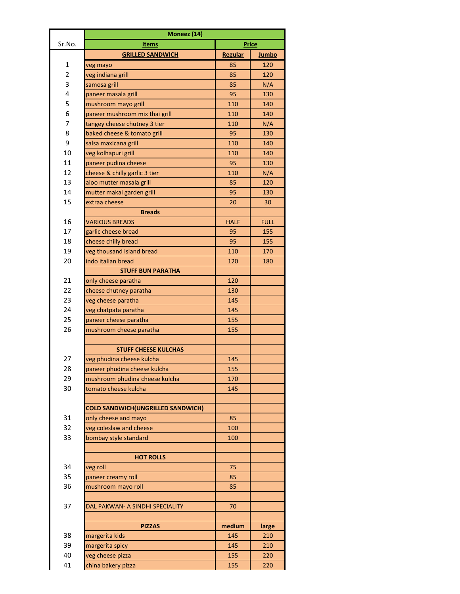|        | Moneez (14)                              |             |              |
|--------|------------------------------------------|-------------|--------------|
| Sr.No. | <b>Items</b>                             |             | <b>Price</b> |
|        | <b>GRILLED SANDWICH</b>                  | Regular     | Jumbo        |
| 1      | veg mayo                                 | 85          | 120          |
| 2      | veg indiana grill                        | 85          | 120          |
| 3      | samosa grill                             | 85          | N/A          |
| 4      | paneer masala grill                      | 95          | 130          |
| 5      | mushroom mayo grill                      | 110         | 140          |
| 6      | paneer mushroom mix thai grill           | 110         | 140          |
| 7      | tangey cheese chutney 3 tier             | 110         | N/A          |
| 8      | baked cheese & tomato grill              | 95          | 130          |
| 9      | salsa maxicana grill                     | 110         | 140          |
| 10     | veg kolhapuri grill                      | 110         | 140          |
| 11     | paneer pudina cheese                     | 95          | 130          |
| 12     | cheese & chilly garlic 3 tier            | 110         | N/A          |
| 13     | aloo mutter masala grill                 | 85          | 120          |
| 14     | mutter makai garden grill                | 95          | 130          |
| 15     | extraa cheese                            | 20          | 30           |
|        | <b>Breads</b>                            |             |              |
| 16     | <b>VARIOUS BREADS</b>                    | <b>HALF</b> | <b>FULL</b>  |
| 17     | garlic cheese bread                      | 95          | 155          |
| 18     | cheese chilly bread                      | 95          | 155          |
| 19     | veg thousand island bread                | 110         | 170          |
| 20     | indo italian bread                       | 120         | 180          |
|        | <b>STUFF BUN PARATHA</b>                 |             |              |
| 21     | only cheese paratha                      | 120         |              |
| 22     | cheese chutney paratha                   | 130         |              |
| 23     | veg cheese paratha                       | 145         |              |
| 24     | veg chatpata paratha                     | 145         |              |
| 25     | paneer cheese paratha                    | 155         |              |
| 26     | mushroom cheese paratha                  | 155         |              |
|        |                                          |             |              |
|        | <b>STUFF CHEESE KULCHAS</b>              |             |              |
| 27     | veg phudina cheese kulcha                | 145         |              |
| 28     | paneer phudina cheese kulcha             | 155         |              |
| 29     | mushroom phudina cheese kulcha           | 170         |              |
| 30     | tomato cheese kulcha                     | 145         |              |
|        |                                          |             |              |
|        | <b>COLD SANDWICH(UNGRILLED SANDWICH)</b> |             |              |
| 31     | only cheese and mayo                     | 85          |              |
| 32     | veg coleslaw and cheese                  | 100         |              |
| 33     | bombay style standard                    | 100         |              |
|        |                                          |             |              |
|        | <b>HOT ROLLS</b>                         |             |              |
| 34     | veg roll                                 | 75          |              |
| 35     | paneer creamy roll                       | 85          |              |
| 36     | mushroom mayo roll                       | 85          |              |
|        |                                          |             |              |
| 37     | DAL PAKWAN- A SINDHI SPECIALITY          | 70          |              |
|        |                                          |             |              |
|        | <b>PIZZAS</b>                            | medium      | large        |
| 38     | margerita kids                           | 145         | 210          |
| 39     | margerita spicy                          | 145         | 210          |
| 40     | veg cheese pizza                         | 155         | 220          |
| 41     | china bakery pizza                       | 155         | 220          |